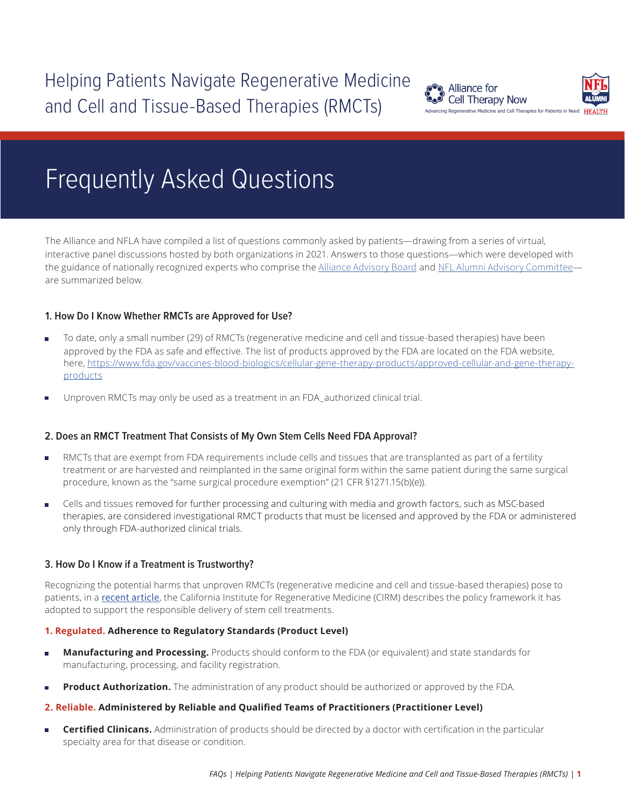

# Frequently Asked Questions

The Alliance and NFLA have compiled a list of questions commonly asked by patients—drawing from a series of virtual, interactive panel discussions hosted by both organizations in 2021. Answers to those questions—which were developed with the guidance of nationally recognized experts who comprise the [Alliance Advisory Board](https://allianceforcelltherapynow.org/alliance-for-cell-therapy-research-advisory-board/) and [NFL Alumni Advisory Committee](https://nflalumnihealth.org/regen-med-cell-therapy-advisory-committee/) are summarized below.

# **1. How Do I Know Whether RMCTs are Approved for Use?**

- To date, only a small number (29) of RMCTs (regenerative medicine and cell and tissue-based therapies) have been approved by the FDA as safe and effective. The list of products approved by the FDA are located on the FDA website, here, [https://www.fda.gov/vaccines-blood-biologics/cellular-gene-therapy-products/approved-cellular-and-gene-therapy](https://www.fda.gov/vaccines-blood-biologics/cellular-gene-therapy-products/approved-cellular-and-gene-therapy-products)[products](https://www.fda.gov/vaccines-blood-biologics/cellular-gene-therapy-products/approved-cellular-and-gene-therapy-products)
- Unproven RMCTs may only be used as a treatment in an FDA\_authorized clinical trial.

# **2. Does an RMCT Treatment That Consists of My Own Stem Cells Need FDA Approval?**

- RMCTs that are exempt from FDA requirements include cells and tissues that are transplanted as part of a fertility treatment or are harvested and reimplanted in the same original form within the same patient during the same surgical procedure, known as the "same surgical procedure exemption" (21 CFR §1271.15(b)(e)).
- Cells and tissues removed for further processing and culturing with media and growth factors, such as MSC-based therapies, are considered investigational RMCT products that must be licensed and approved by the FDA or administered only through FDA-authorized clinical trials.

# **3. How Do I Know if a Treatment is Trustworthy?**

Recognizing the potential harms that unproven RMCTs (regenerative medicine and cell and tissue-based therapies) pose to patients, in a [recent article](https://academic.oup.com/stcltm/article/9/5/547/6406811), the California Institute for Regenerative Medicine (CIRM) describes the policy framework it has adopted to support the responsible delivery of stem cell treatments.

# **1. Regulated. Adherence to Regulatory Standards (Product Level)**

- **Manufacturing and Processing.** Products should conform to the FDA (or equivalent) and state standards for manufacturing, processing, and facility registration.
- **Product Authorization.** The administration of any product should be authorized or approved by the FDA.

# **2. Reliable. Administered by Reliable and Qualified Teams of Practitioners (Practitioner Level)**

• **Certified Clinicans.** Administration of products should be directed by a doctor with certification in the particular specialty area for that disease or condition.